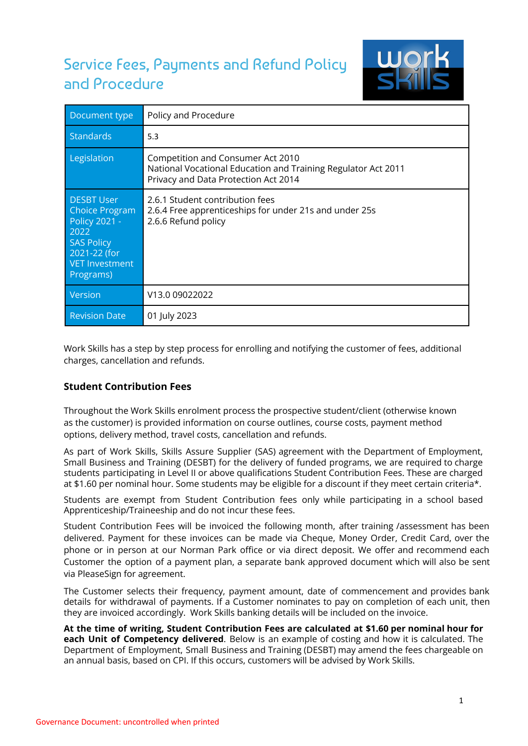# Service Fees, Payments and Refund Policy and Procedure



| Document type                                                                                                                                  | Policy and Procedure                                                                                                                       |
|------------------------------------------------------------------------------------------------------------------------------------------------|--------------------------------------------------------------------------------------------------------------------------------------------|
| Standards                                                                                                                                      | 5.3                                                                                                                                        |
| Legislation                                                                                                                                    | Competition and Consumer Act 2010<br>National Vocational Education and Training Regulator Act 2011<br>Privacy and Data Protection Act 2014 |
| <b>DESBT User</b><br><b>Choice Program</b><br><b>Policy 2021 -</b><br>2022<br><b>SAS Policy</b><br>2021-22 (for<br>VET Investment<br>Programs) | 2.6.1 Student contribution fees<br>2.6.4 Free apprenticeships for under 21s and under 25s<br>2.6.6 Refund policy                           |
| Version                                                                                                                                        | V13.0 09022022                                                                                                                             |
| <b>Revision Date</b>                                                                                                                           | 01 July 2023                                                                                                                               |

Work Skills has a step by step process for enrolling and notifying the customer of fees, additional charges, cancellation and refunds.

# **Student Contribution Fees**

Throughout the Work Skills enrolment process the prospective student/client (otherwise known as the customer) is provided information on course outlines, course costs, payment method options, delivery method, travel costs, cancellation and refunds.

As part of Work Skills, Skills Assure Supplier (SAS) agreement with the Department of Employment, Small Business and Training (DESBT) for the delivery of funded programs, we are required to charge students participating in Level II or above qualifications Student Contribution Fees. These are charged at \$1.60 per nominal hour. Some students may be eligible for a discount if they meet certain criteria\*.

Students are exempt from Student Contribution fees only while participating in a school based Apprenticeship/Traineeship and do not incur these fees.

Student Contribution Fees will be invoiced the following month, after training /assessment has been delivered. Payment for these invoices can be made via Cheque, Money Order, Credit Card, over the phone or in person at our Norman Park office or via direct deposit. We offer and recommend each Customer the option of a payment plan, a separate bank approved document which will also be sent via PleaseSign for agreement.

The Customer selects their frequency, payment amount, date of commencement and provides bank details for withdrawal of payments. If a Customer nominates to pay on completion of each unit, then they are invoiced accordingly. Work Skills banking details will be included on the invoice.

**At the time of writing, Student Contribution Fees are calculated at \$1.60 per nominal hour for each Unit of Competency delivered**. Below is an example of costing and how it is calculated. The Department of Employment, Small Business and Training (DESBT) may amend the fees chargeable on an annual basis, based on CPI. If this occurs, customers will be advised by Work Skills.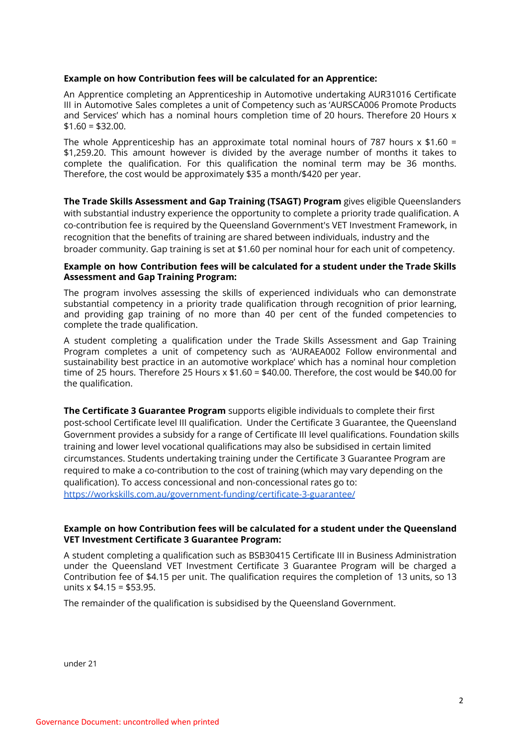### **Example on how Contribution fees will be calculated for an Apprentice:**

An Apprentice completing an Apprenticeship in Automotive undertaking AUR31016 Certificate III in Automotive Sales completes a unit of Competency such as 'AURSCA006 Promote Products and Services' which has a nominal hours completion time of 20 hours. Therefore 20 Hours x  $$1.60 = $32.00.$ 

The whole Apprenticeship has an approximate total nominal hours of 787 hours  $x$  \$1.60 = \$1,259.20. This amount however is divided by the average number of months it takes to complete the qualification. For this qualification the nominal term may be 36 months. Therefore, the cost would be approximately \$35 a month/\$420 per year.

**The Trade Skills Assessment and Gap Training (TSAGT) Program** gives eligible Queenslanders with substantial industry experience the opportunity to complete a priority trade qualification. A co-contribution fee is required by the Queensland Government's VET Investment Framework, in recognition that the benefits of training are shared between individuals, industry and the broader community. Gap training is set at \$1.60 per nominal hour for each unit of competency.

### **Example on how Contribution fees will be calculated for a student under the Trade Skills Assessment and Gap Training Program:**

The program involves assessing the skills of experienced individuals who can demonstrate substantial competency in a priority trade qualification through recognition of prior learning, and providing gap training of no more than 40 per cent of the funded competencies to complete the trade qualification.

A student completing a qualification under the Trade Skills Assessment and Gap Training Program completes a unit of competency such as 'AURAEA002 Follow environmental and sustainability best practice in an automotive workplace' which has a nominal hour completion time of 25 hours. Therefore 25 Hours x \$1.60 = \$40.00. Therefore, the cost would be \$40.00 for the qualification.

**The Certificate 3 Guarantee Program** supports eligible individuals to complete their first post-school Certificate level III qualification. Under the Certificate 3 Guarantee, the Queensland Government provides a subsidy for a range of Certificate III level qualifications. Foundation skills training and lower level vocational qualifications may also be subsidised in certain limited circumstances. Students undertaking training under the Certificate 3 Guarantee Program are required to make a co-contribution to the cost of training (which may vary depending on the qualification). To access concessional and non-concessional rates go to: [https://workskills.com.au/government-funding/certificate-3-guarantee/](https://workskills.com.au/government-funding/certificate-iii-guarantee/)

## **Example on how Contribution fees will be calculated for a student under the Queensland VET Investment Certificate 3 Guarantee Program:**

A student completing a qualification such as BSB30415 Certificate III in Business Administration under the Queensland VET Investment Certificate 3 Guarantee Program will be charged a Contribution fee of \$4.15 per unit. The qualification requires the completion of 13 units, so 13 units  $x$  \$4.15 = \$53.95.

The remainder of the qualification is subsidised by the Queensland Government.

under 21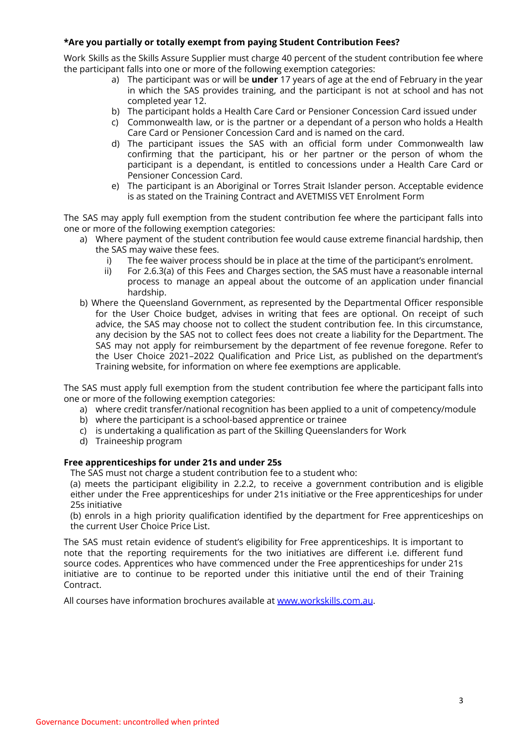## **\*Are you partially or totally exempt from paying Student Contribution Fees?**

Work Skills as the Skills Assure Supplier must charge 40 percent of the student contribution fee where the participant falls into one or more of the following exemption categories:

- a) The participant was or will be **under** 17 years of age at the end of February in the year in which the SAS provides training, and the participant is not at school and has not completed year 12.
- b) The participant holds a Health Care Card or Pensioner Concession Card issued under
- c) Commonwealth law, or is the partner or a dependant of a person who holds a Health Care Card or Pensioner Concession Card and is named on the card.
- d) The participant issues the SAS with an official form under Commonwealth law confirming that the participant, his or her partner or the person of whom the participant is a dependant, is entitled to concessions under a Health Care Card or Pensioner Concession Card.
- e) The participant is an Aboriginal or Torres Strait Islander person. Acceptable evidence is as stated on the Training Contract and AVETMISS VET Enrolment Form

The SAS may apply full exemption from the student contribution fee where the participant falls into one or more of the following exemption categories:

- a) Where payment of the student contribution fee would cause extreme financial hardship, then the SAS may waive these fees.
	- i) The fee waiver process should be in place at the time of the participant's enrolment.
	- ii) For 2.6.3(a) of this Fees and Charges section, the SAS must have a reasonable internal process to manage an appeal about the outcome of an application under financial hardship.
- b) Where the Queensland Government, as represented by the Departmental Officer responsible for the User Choice budget, advises in writing that fees are optional. On receipt of such advice, the SAS may choose not to collect the student contribution fee. In this circumstance, any decision by the SAS not to collect fees does not create a liability for the Department. The SAS may not apply for reimbursement by the department of fee revenue foregone. Refer to the User Choice 2021–2022 Qualification and Price List, as published on the department's Training website, for information on where fee exemptions are applicable.

The SAS must apply full exemption from the student contribution fee where the participant falls into one or more of the following exemption categories:

- a) where credit transfer/national recognition has been applied to a unit of competency/module
- b) where the participant is a school-based apprentice or trainee
- c) is undertaking a qualification as part of the Skilling Queenslanders for Work
- d) Traineeship program

## **Free apprenticeships for under 21s and under 25s**

The SAS must not charge a student contribution fee to a student who:

(a) meets the participant eligibility in 2.2.2, to receive a government contribution and is eligible either under the Free apprenticeships for under 21s initiative or the Free apprenticeships for under 25s initiative

(b) enrols in a high priority qualification identified by the department for Free apprenticeships on the current User Choice Price List.

The SAS must retain evidence of student's eligibility for Free apprenticeships. It is important to note that the reporting requirements for the two initiatives are different i.e. different fund source codes. Apprentices who have commenced under the Free apprenticeships for under 21s initiative are to continue to be reported under this initiative until the end of their Training Contract.

All courses have information brochures available at [www.workskills.com.au](http://www.workskills.com.au).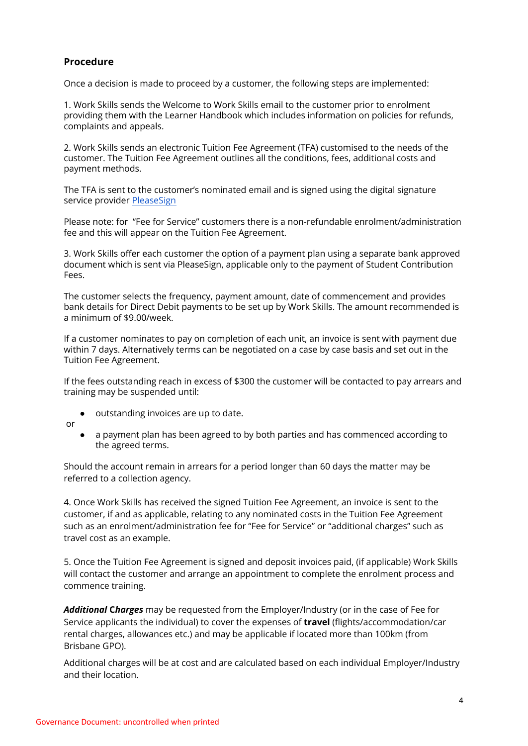## **Procedure**

Once a decision is made to proceed by a customer, the following steps are implemented:

1. Work Skills sends the Welcome to Work Skills email to the customer prior to enrolment providing them with the Learner Handbook which includes information on policies for refunds, complaints and appeals.

2. Work Skills sends an electronic Tuition Fee Agreement (TFA) customised to the needs of the customer. The Tuition Fee Agreement outlines all the conditions, fees, additional costs and payment methods.

The TFA is sent to the customer's nominated email and is signed using the digital signature service provider [PleaseSign](https://pleasesign.com.au/)

Please note: for "Fee for Service" customers there is a non-refundable enrolment/administration fee and this will appear on the Tuition Fee Agreement.

3. Work Skills offer each customer the option of a payment plan using a separate bank approved document which is sent via PleaseSign, applicable only to the payment of Student Contribution Fees.

The customer selects the frequency, payment amount, date of commencement and provides bank details for Direct Debit payments to be set up by Work Skills. The amount recommended is a minimum of \$9.00/week.

If a customer nominates to pay on completion of each unit, an invoice is sent with payment due within 7 days. Alternatively terms can be negotiated on a case by case basis and set out in the Tuition Fee Agreement.

If the fees outstanding reach in excess of \$300 the customer will be contacted to pay arrears and training may be suspended until:

- outstanding invoices are up to date.
- or
- a payment plan has been agreed to by both parties and has commenced according to the agreed terms.

Should the account remain in arrears for a period longer than 60 days the matter may be referred to a collection agency.

4. Once Work Skills has received the signed Tuition Fee Agreement, an invoice is sent to the customer, if and as applicable, relating to any nominated costs in the Tuition Fee Agreement such as an enrolment/administration fee for "Fee for Service" or "additional charges" such as travel cost as an example.

5. Once the Tuition Fee Agreement is signed and deposit invoices paid, (if applicable) Work Skills will contact the customer and arrange an appointment to complete the enrolment process and commence training.

*Additional* **C***harges* may be requested from the Employer/Industry (or in the case of Fee for Service applicants the individual) to cover the expenses of **travel** (flights/accommodation/car rental charges, allowances etc.) and may be applicable if located more than 100km (from Brisbane GPO).

Additional charges will be at cost and are calculated based on each individual Employer/Industry and their location.